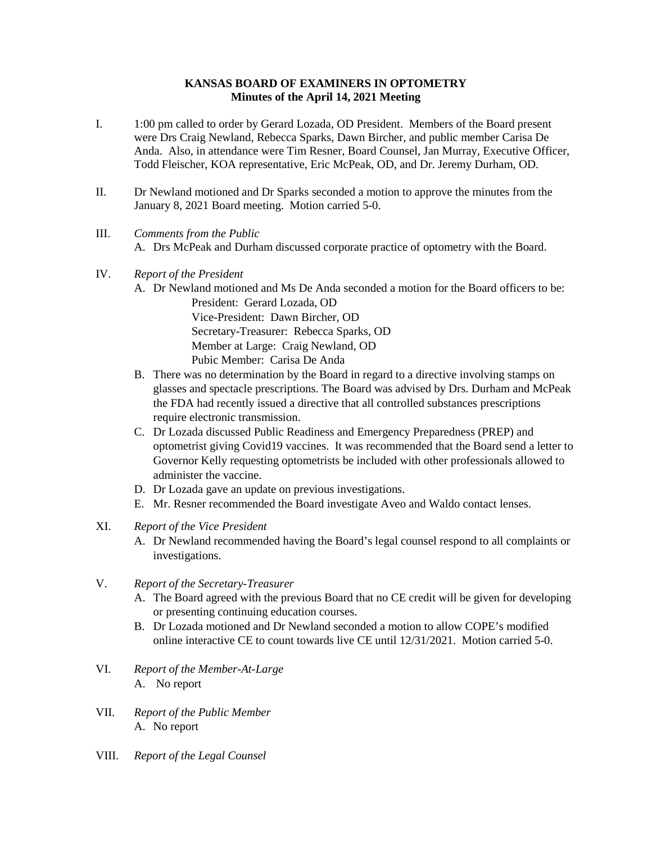## **KANSAS BOARD OF EXAMINERS IN OPTOMETRY Minutes of the April 14, 2021 Meeting**

- I. 1:00 pm called to order by Gerard Lozada, OD President. Members of the Board present were Drs Craig Newland, Rebecca Sparks, Dawn Bircher, and public member Carisa De Anda. Also, in attendance were Tim Resner, Board Counsel, Jan Murray, Executive Officer, Todd Fleischer, KOA representative, Eric McPeak, OD, and Dr. Jeremy Durham, OD.
- II. Dr Newland motioned and Dr Sparks seconded a motion to approve the minutes from the January 8, 2021 Board meeting. Motion carried 5-0.
- III. *Comments from the Public* A. Drs McPeak and Durham discussed corporate practice of optometry with the Board.
- IV. *Report of the President*
	- A. Dr Newland motioned and Ms De Anda seconded a motion for the Board officers to be: President: Gerard Lozada, OD Vice-President: Dawn Bircher, OD Secretary-Treasurer: Rebecca Sparks, OD Member at Large: Craig Newland, OD Pubic Member: Carisa De Anda
	- B. There was no determination by the Board in regard to a directive involving stamps on glasses and spectacle prescriptions. The Board was advised by Drs. Durham and McPeak the FDA had recently issued a directive that all controlled substances prescriptions require electronic transmission.
	- C. Dr Lozada discussed Public Readiness and Emergency Preparedness (PREP) and optometrist giving Covid19 vaccines. It was recommended that the Board send a letter to Governor Kelly requesting optometrists be included with other professionals allowed to administer the vaccine.
	- D. Dr Lozada gave an update on previous investigations.
	- E. Mr. Resner recommended the Board investigate Aveo and Waldo contact lenses.
- XI. *Report of the Vice President*
	- A. Dr Newland recommended having the Board's legal counsel respond to all complaints or investigations.
- V. *Report of the Secretary-Treasurer*
	- A. The Board agreed with the previous Board that no CE credit will be given for developing or presenting continuing education courses.
	- B. Dr Lozada motioned and Dr Newland seconded a motion to allow COPE's modified online interactive CE to count towards live CE until 12/31/2021. Motion carried 5-0.
- VI. *Report of the Member-At-Large* A. No report
- VII. *Report of the Public Member* A. No report
- VIII. *Report of the Legal Counsel*